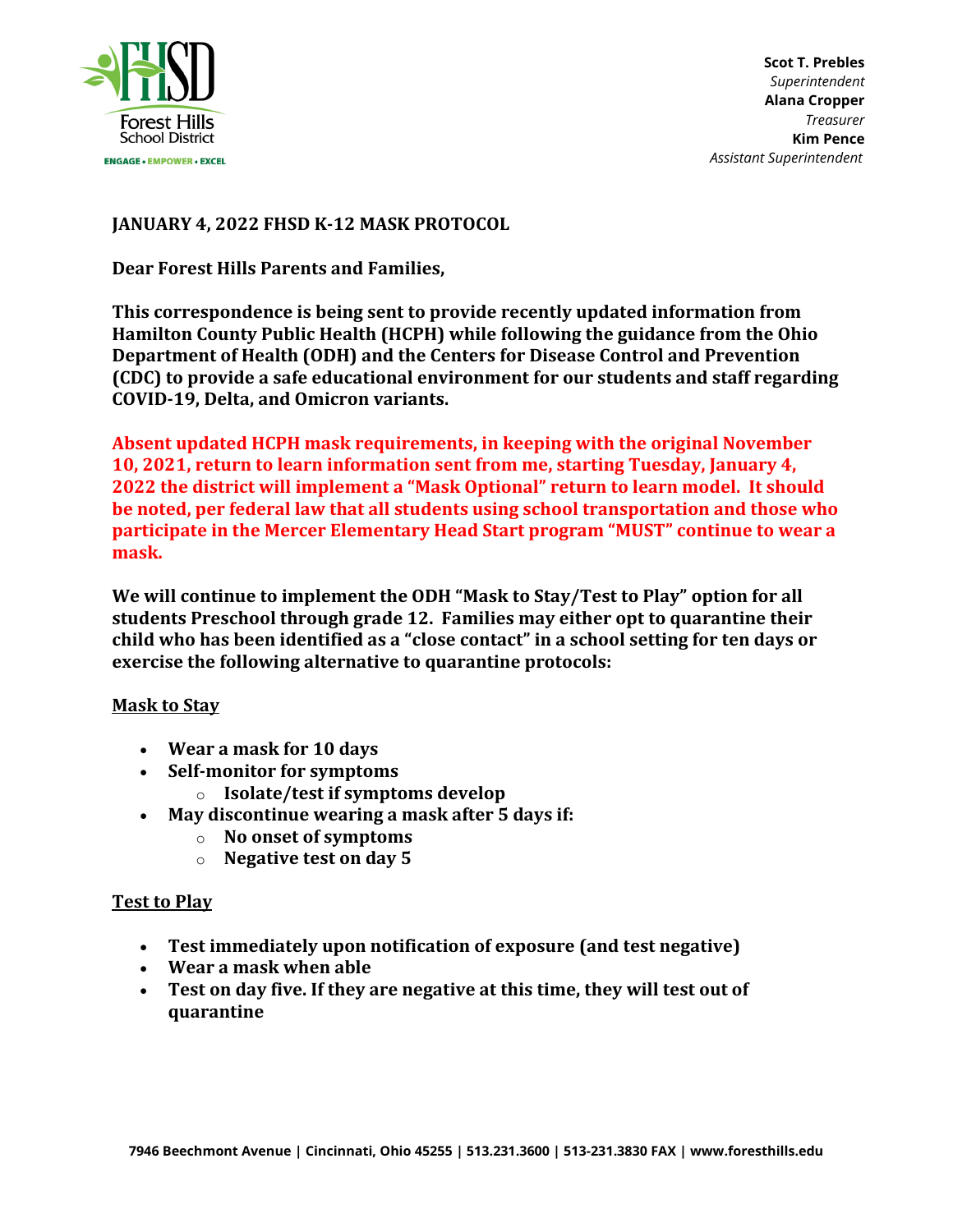

## **JANUARY 4, 2022 FHSD K-12 MASK PROTOCOL**

**Dear Forest Hills Parents and Families,**

**This correspondence is being sent to provide recently updated information from Hamilton County Public Health (HCPH) while following the guidance from the Ohio Department of Health (ODH) and the Centers for Disease Control and Prevention (CDC) to provide a safe educational environment for our students and staff regarding COVID-19, Delta, and Omicron variants.**

**Absent updated HCPH mask requirements, in keeping with the original November 10, 2021, return to learn information sent from me, starting Tuesday, January 4, 2022 the district will implement a "Mask Optional" return to learn model. It should be noted, per federal law that all students using school transportation and those who participate in the Mercer Elementary Head Start program "MUST" continue to wear a mask.** 

**We will continue to implement the ODH "Mask to Stay/Test to Play" option for all students Preschool through grade 12. Families may either opt to quarantine their child who has been identified as a "close contact" in a school setting for ten days or exercise the following alternative to quarantine protocols:**

## **Mask to Stay**

- **Wear a mask for 10 days**
- **Self-monitor for symptoms**
	- o **Isolate/test if symptoms develop**
- **May discontinue wearing a mask after 5 days if:**
	- o **No onset of symptoms**
	- o **Negative test on day 5**

## **Test to Play**

- **Test immediately upon notification of exposure (and test negative)**
- **Wear a mask when able**
- **Test on day five. If they are negative at this time, they will test out of quarantine**